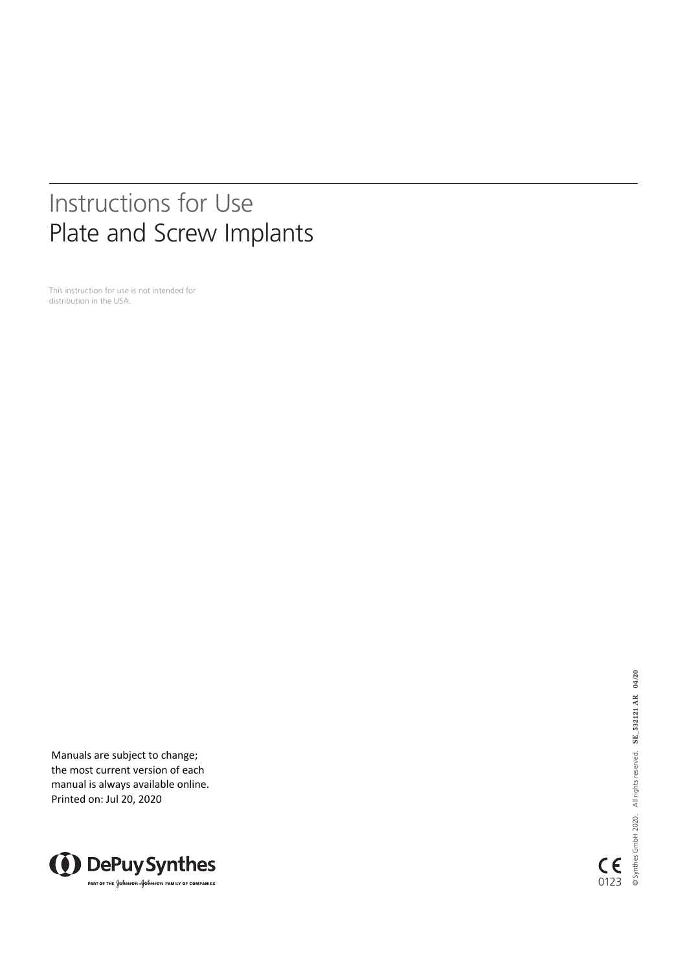# Instructions for Use Plate and Screw Implants

This instruction for use is not intended for distribution in the USA.

Manuals are subject to change; the most current version of each manual is always available online. Printed on: Jul 20, 2020



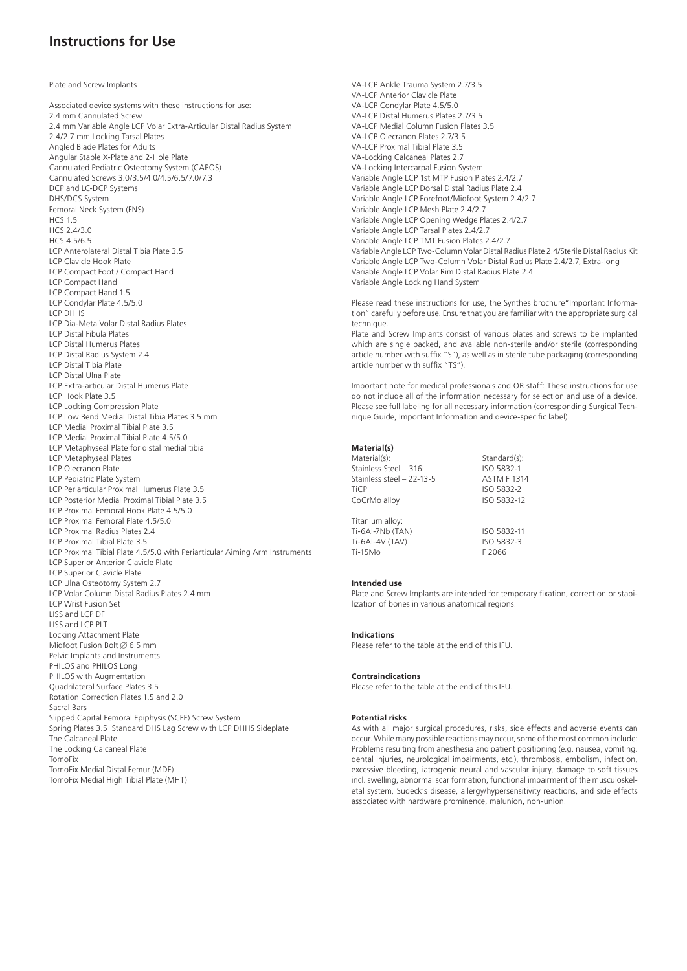# **Instructions for Use**

Plate and Screw Implants

Associated device systems with these instructions for use: 2.4 mm Cannulated Screw 2.4 mm Variable Angle LCP Volar Extra-Articular Distal Radius System 2.4/2.7 mm Locking Tarsal Plates Angled Blade Plates for Adults Angular Stable X-Plate and 2-Hole Plate Cannulated Pediatric Osteotomy System (CAPOS) Cannulated Screws 3.0/3.5/4.0/4.5/6.5/7.0/7.3 DCP and LC-DCP Systems DHS/DCS System Femoral Neck System (FNS) HCS 1.5 HCS 2.4/3.0 HCS 4.5/6.5 LCP Anterolateral Distal Tibia Plate 3.5 LCP Clavicle Hook Plate LCP Compact Foot / Compact Hand LCP Compact Hand LCP Compact Hand 1.5 LCP Condylar Plate 4.5/5.0 LCP DHHS LCP Dia-Meta Volar Distal Radius Plates LCP Distal Fibula Plates LCP Distal Humerus Plates LCP Distal Radius System 2.4 LCP Distal Tibia Plate LCP Distal Ulna Plate LCP Extra-articular Distal Humerus Plate LCP Hook Plate 3.5 LCP Locking Compression Plate LCP Low Bend Medial Distal Tibia Plates 3.5 mm LCP Medial Proximal Tibial Plate 3.5 LCP Medial Proximal Tibial Plate 4.5/5.0 LCP Metaphyseal Plate for distal medial tibia LCP Metaphyseal Plates LCP Olecranon Plate LCP Pediatric Plate System LCP Periarticular Proximal Humerus Plate 3.5 LCP Posterior Medial Proximal Tibial Plate 3.5 LCP Proximal Femoral Hook Plate 4.5/5.0 LCP Proximal Femoral Plate 4.5/5.0 LCP Proximal Radius Plates 2.4 LCP Proximal Tibial Plate 3.5 LCP Proximal Tibial Plate 4.5/5.0 with Periarticular Aiming Arm Instruments LCP Superior Anterior Clavicle Plate LCP Superior Clavicle Plate LCP Ulna Osteotomy System 2.7 LCP Volar Column Distal Radius Plates 2.4 mm LCP Wrist Fusion Set LISS and LCP DF LISS and LCP PLT Locking Attachment Plate Midfoot Fusion Bolt  $\emptyset$  6.5 mm Pelvic Implants and Instruments PHILOS and PHILOS Long PHILOS with Augmentation Quadrilateral Surface Plates 3.5 Rotation Correction Plates 1.5 and 2.0 Sacral Bars Slipped Capital Femoral Epiphysis (SCFE) Screw System Spring Plates 3.5 Standard DHS Lag Screw with LCP DHHS Sideplate The Calcaneal Plate The Locking Calcaneal Plate TomoFix TomoFix Medial Distal Femur (MDF)

TomoFix Medial High Tibial Plate (MHT)

VA-LCP Ankle Trauma System 2.7/3.5 VA-LCP Anterior Clavicle Plate VA-LCP Condylar Plate 4.5/5.0 VA-LCP Distal Humerus Plates 2.7/3.5 VA-LCP Medial Column Fusion Plates 3.5 VA-LCP Olecranon Plates 2.7/3.5 VA-LCP Proximal Tibial Plate 3.5 VA-Locking Calcaneal Plates 2.7 VA-Locking Intercarpal Fusion System Variable Angle LCP 1st MTP Fusion Plates 2.4/2.7 Variable Angle LCP Dorsal Distal Radius Plate 2.4 Variable Angle LCP Forefoot/Midfoot System 2.4/2.7 Variable Angle LCP Mesh Plate 2.4/2.7 Variable Angle LCP Opening Wedge Plates 2.4/2.7 Variable Angle LCP Tarsal Plates 2.4/2.7 Variable Angle LCP TMT Fusion Plates 2.4/2.7 Variable Angle LCP Two-Column Volar Distal Radius Plate 2.4/Sterile Distal Radius Kit Variable Angle LCP Two-Column Volar Distal Radius Plate 2.4/2.7, Extra-long Variable Angle LCP Volar Rim Distal Radius Plate 2.4 Variable Angle Locking Hand System

Please read these instructions for use, the Synthes brochure"Important Information" carefully before use. Ensure that you are familiar with the appropriate surgical technique

Plate and Screw Implants consist of various plates and screws to be implanted which are single packed, and available non-sterile and/or sterile (corresponding article number with suffix "S"), as well as in sterile tube packaging (corresponding article number with suffix "TS").

Important note for medical professionals and OR staff: These instructions for use do not include all of the information necessary for selection and use of a device. Please see full labeling for all necessary information (corresponding Surgical Technique Guide, Important Information and device-specific label).

# **Material(s)**

| Material(s):              | Standard(s):       |
|---------------------------|--------------------|
| Stainless Steel - 316L    | ISO 5832-1         |
| Stainless steel - 22-13-5 | <b>ASTM F 1314</b> |
| TiCP                      | ISO 5832-2         |
| CoCrMo alloy              | ISO 5832-12        |
| Titanium alloy:           |                    |
| Ti-6Al-7Nb (TAN)          | ISO 5832-11        |
| Ti-6Al-4V (TAV)           | ISO 5832-3         |
| Ti-15Mo                   | F 2066             |
|                           |                    |

# **Intended use**

Plate and Screw Implants are intended for temporary fixation, correction or stabilization of bones in various anatomical regions.

#### **Indications**

Please refer to the table at the end of this IFU.

#### **Contraindications**

Please refer to the table at the end of this IFU.

## **Potential risks**

As with all major surgical procedures, risks, side effects and adverse events can occur. While many possible reactions may occur, some of the most common include: Problems resulting from anesthesia and patient positioning (e.g. nausea, vomiting, dental injuries, neurological impairments, etc.), thrombosis, embolism, infection, excessive bleeding, iatrogenic neural and vascular injury, damage to soft tissues incl. swelling, abnormal scar formation, functional impairment of the musculoskeletal system, Sudeck's disease, allergy/hypersensitivity reactions, and side effects associated with hardware prominence, malunion, non-union.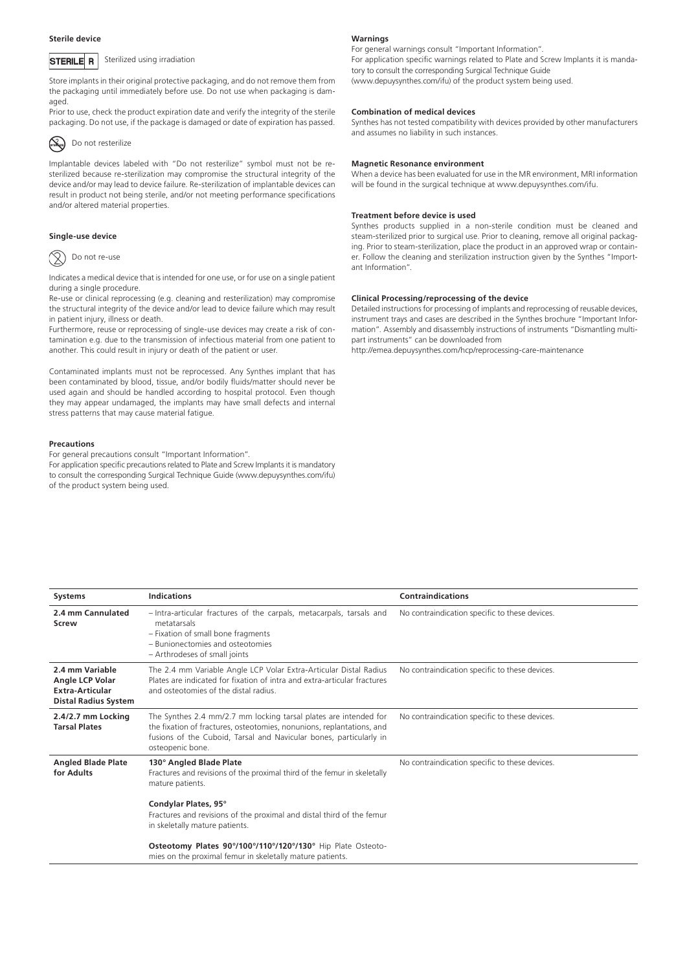#### **Sterile device**



Sterilized using irradiation

Store implants in their original protective packaging, and do not remove them from the packaging until immediately before use. Do not use when packaging is damaged.

Prior to use, check the product expiration date and verify the integrity of the sterile packaging. Do not use, if the package is damaged or date of expiration has passed.



# Do not resterilize

Implantable devices labeled with "Do not resterilize" symbol must not be resterilized because re-sterilization may compromise the structural integrity of the device and/or may lead to device failure. Re-sterilization of implantable devices can result in product not being sterile, and/or not meeting performance specifications and/or altered material properties.

# **Single-use device**



Indicates a medical device that is intended for one use, or for use on a single patient during a single procedure.

Re-use or clinical reprocessing (e.g. cleaning and resterilization) may compromise the structural integrity of the device and/or lead to device failure which may result in patient injury, illness or death.

Furthermore, reuse or reprocessing of single-use devices may create a risk of contamination e.g. due to the transmission of infectious material from one patient to another. This could result in injury or death of the patient or user.

Contaminated implants must not be reprocessed. Any Synthes implant that has been contaminated by blood, tissue, and/or bodily fluids/matter should never be used again and should be handled according to hospital protocol. Even though they may appear undamaged, the implants may have small defects and internal stress patterns that may cause material fatigue.

## **Precautions**

For general precautions consult "Important Information".

For application specific precautions related to Plate and Screw Implants it is mandatory to consult the corresponding Surgical Technique Guide (www.depuysynthes.com/ifu) of the product system being used.

#### **Warnings**

For general warnings consult "Important Information". For application specific warnings related to Plate and Screw Implants it is mandatory to consult the corresponding Surgical Technique Guide (www.depuysynthes.com/ifu) of the product system being used.

#### **Combination of medical devices**

Synthes has not tested compatibility with devices provided by other manufacturers and assumes no liability in such instances.

#### **Magnetic Resonance environment**

When a device has been evaluated for use in the MR environment, MRI information will be found in the surgical technique at www.depuysynthes.com/ifu.

#### **Treatment before device is used**

Synthes products supplied in a non-sterile condition must be cleaned and steam-sterilized prior to surgical use. Prior to cleaning, remove all original packaging. Prior to steam-sterilization, place the product in an approved wrap or container. Follow the cleaning and sterilization instruction given by the Synthes "Important Information".

# **Clinical Processing/reprocessing of the device**

Detailed instructions for processing of implants and reprocessing of reusable devices, instrument trays and cases are described in the Synthes brochure "Important Information". Assembly and disassembly instructions of instruments "Dismantling multipart instruments" can be downloaded from

http://emea.depuysynthes.com/hcp/reprocessing-care-maintenance

| <b>Systems</b>                                                                       | <b>Indications</b>                                                                                                                                                                                                                  | <b>Contraindications</b>                       |
|--------------------------------------------------------------------------------------|-------------------------------------------------------------------------------------------------------------------------------------------------------------------------------------------------------------------------------------|------------------------------------------------|
| 2.4 mm Cannulated<br>Screw                                                           | - Intra-articular fractures of the carpals, metacarpals, tarsals and<br>metatarsals<br>- Fixation of small bone fragments<br>- Bunionectomies and osteotomies<br>- Arthrodeses of small joints                                      | No contraindication specific to these devices. |
| 2.4 mm Variable<br>Angle LCP Volar<br>Extra-Articular<br><b>Distal Radius System</b> | The 2.4 mm Variable Angle LCP Volar Extra-Articular Distal Radius<br>Plates are indicated for fixation of intra and extra-articular fractures<br>and osteotomies of the distal radius.                                              | No contraindication specific to these devices. |
| 2.4/2.7 mm Locking<br><b>Tarsal Plates</b>                                           | The Synthes 2.4 mm/2.7 mm locking tarsal plates are intended for<br>the fixation of fractures, osteotomies, nonunions, replantations, and<br>fusions of the Cuboid, Tarsal and Navicular bones, particularly in<br>osteopenic bone. | No contraindication specific to these devices. |
| <b>Angled Blade Plate</b><br>for Adults                                              | 130° Angled Blade Plate<br>Fractures and revisions of the proximal third of the femur in skeletally<br>mature patients.                                                                                                             | No contraindication specific to these devices. |
|                                                                                      | Condylar Plates, 95°<br>Fractures and revisions of the proximal and distal third of the femur<br>in skeletally mature patients.                                                                                                     |                                                |
|                                                                                      | Osteotomy Plates 90°/100°/110°/120°/130° Hip Plate Osteoto-<br>mies on the proximal femur in skeletally mature patients.                                                                                                            |                                                |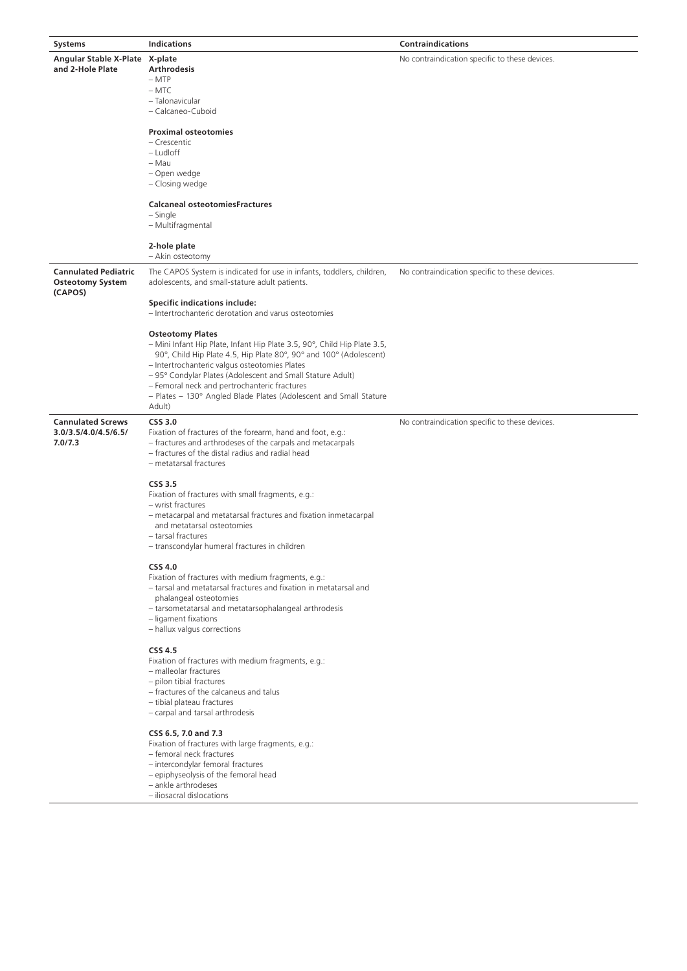| Systems                                                           | <b>Indications</b>                                                                                                                                                                                                                                                                                                                                                                                                      | <b>Contraindications</b>                       |
|-------------------------------------------------------------------|-------------------------------------------------------------------------------------------------------------------------------------------------------------------------------------------------------------------------------------------------------------------------------------------------------------------------------------------------------------------------------------------------------------------------|------------------------------------------------|
| Angular Stable X-Plate X-plate<br>and 2-Hole Plate                | <b>Arthrodesis</b><br>$-MTP$<br>– MTC<br>- Talonavicular<br>- Calcaneo-Cuboid<br><b>Proximal osteotomies</b>                                                                                                                                                                                                                                                                                                            | No contraindication specific to these devices. |
|                                                                   | – Crescentic<br>– Ludloff<br>– Mau<br>- Open wedge<br>- Closing wedge                                                                                                                                                                                                                                                                                                                                                   |                                                |
|                                                                   | <b>Calcaneal osteotomiesFractures</b><br>– Single<br>- Multifragmental                                                                                                                                                                                                                                                                                                                                                  |                                                |
|                                                                   | 2-hole plate<br>- Akin osteotomy                                                                                                                                                                                                                                                                                                                                                                                        |                                                |
| <b>Cannulated Pediatric</b><br><b>Osteotomy System</b><br>(CAPOS) | The CAPOS System is indicated for use in infants, toddlers, children,<br>adolescents, and small-stature adult patients.                                                                                                                                                                                                                                                                                                 | No contraindication specific to these devices. |
|                                                                   | <b>Specific indications include:</b><br>- Intertrochanteric derotation and varus osteotomies                                                                                                                                                                                                                                                                                                                            |                                                |
|                                                                   | <b>Osteotomy Plates</b><br>- Mini Infant Hip Plate, Infant Hip Plate 3.5, 90°, Child Hip Plate 3.5,<br>90°, Child Hip Plate 4.5, Hip Plate 80°, 90° and 100° (Adolescent)<br>- Intertrochanteric valgus osteotomies Plates<br>- 95° Condylar Plates (Adolescent and Small Stature Adult)<br>- Femoral neck and pertrochanteric fractures<br>- Plates - 130° Angled Blade Plates (Adolescent and Small Stature<br>Adult) |                                                |
| <b>Cannulated Screws</b><br>3.0/3.5/4.0/4.5/6.5/<br>7.0/7.3       | <b>CSS 3.0</b><br>Fixation of fractures of the forearm, hand and foot, e.g.:<br>- fractures and arthrodeses of the carpals and metacarpals<br>- fractures of the distal radius and radial head<br>- metatarsal fractures                                                                                                                                                                                                | No contraindication specific to these devices. |
|                                                                   | CSS 3.5<br>Fixation of fractures with small fragments, e.g.:<br>- wrist fractures<br>- metacarpal and metatarsal fractures and fixation inmetacarpal<br>and metatarsal osteotomies<br>- tarsal fractures<br>- transcondylar humeral fractures in children                                                                                                                                                               |                                                |
|                                                                   | <b>CSS 4.0</b><br>Fixation of fractures with medium fragments, e.g.:<br>- tarsal and metatarsal fractures and fixation in metatarsal and<br>phalangeal osteotomies<br>- tarsometatarsal and metatarsophalangeal arthrodesis<br>- ligament fixations<br>- hallux valgus corrections                                                                                                                                      |                                                |
|                                                                   | <b>CSS 4.5</b><br>Fixation of fractures with medium fragments, e.g.:<br>- malleolar fractures<br>- pilon tibial fractures<br>- fractures of the calcaneus and talus<br>- tibial plateau fractures<br>- carpal and tarsal arthrodesis                                                                                                                                                                                    |                                                |
|                                                                   | CSS 6.5, 7.0 and 7.3<br>Fixation of fractures with large fragments, e.g.:<br>- femoral neck fractures<br>- intercondylar femoral fractures<br>- epiphyseolysis of the femoral head<br>- ankle arthrodeses<br>- iliosacral dislocations                                                                                                                                                                                  |                                                |
|                                                                   |                                                                                                                                                                                                                                                                                                                                                                                                                         |                                                |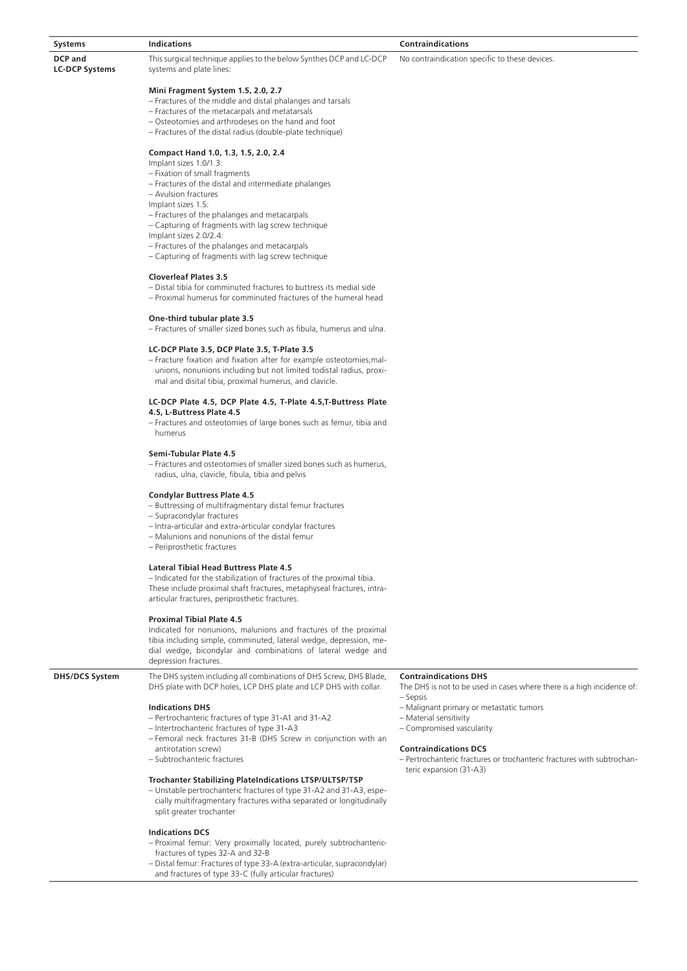| <b>Systems</b>                          | <b>Indications</b>                                                                              | <b>Contraindications</b>                       |
|-----------------------------------------|-------------------------------------------------------------------------------------------------|------------------------------------------------|
| <b>DCP</b> and<br><b>LC-DCP Systems</b> | This surgical technique applies to the below Synthes DCP and LC-DCP<br>systems and plate lines: | No contraindication specific to these devices. |
|                                         | Mini Fragment System 1.5, 2.0, 2.7                                                              |                                                |

- Fractures of the middle and distal phalanges and tarsals
- Fractures of the metacarpals and metatarsals
- Osteotomies and arthrodeses on the hand and foot
- Fractures of the distal radius (double-plate technique)

# **Compact Hand 1.0, 1.3, 1.5, 2.0, 2.4**

Implant sizes 1.0/1.3:

- Fixation of small fragments
- Fractures of the distal and intermediate phalanges
- Avulsion fractures
- Implant sizes 1.5:
- Fractures of the phalanges and metacarpals
- Capturing of fragments with lag screw technique
- Implant sizes 2.0/2.4:
- Fractures of the phalanges and metacarpals
- Capturing of fragments with lag screw technique

# **Cloverleaf Plates 3.5**

- Distal tibia for comminuted fractures to buttress its medial side
- Proximal humerus for comminuted fractures of the humeral head

# **One-third tubular plate 3.5**

– Fractures of smaller sized bones such as fibula, humerus and ulna.

# **LC-DCP Plate 3.5, DCP Plate 3.5, T-Plate 3.5**

– Fracture fixation and fixation after for example osteotomies,malunions, nonunions including but not limited todistal radius, proximal and disital tibia, proximal humerus, and clavicle.

#### **LC-DCP Plate 4.5, DCP Plate 4.5, T-Plate 4.5,T-Buttress Plate 4.5, L-Buttress Plate 4.5**

– Fractures and osteotomies of large bones such as femur, tibia and humerus

# **Semi-Tubular Plate 4.5**

– Fractures and osteotomies of smaller sized bones such as humerus, radius, ulna, clavicle, fibula, tibia and pelvis

# **Condylar Buttress Plate 4.5**

- Buttressing of multifragmentary distal femur fractures
- Supracondylar fractures
- Intra-articular and extra-articular condylar fractures
- Malunions and nonunions of the distal femur
- Periprosthetic fractures

# **Lateral Tibial Head Buttress Plate 4.5**

– Indicated for the stabilization of fractures of the proximal tibia. These include proximal shaft fractures, metaphyseal fractures, intraarticular fractures, periprosthetic fractures.

#### **Proximal Tibial Plate 4.5**

Indicated for nonunions, malunions and fractures of the proximal tibia including simple, comminuted, lateral wedge, depression, medial wedge, bicondylar and combinations of lateral wedge and depression fractures.

**DHS/DCS System** The DHS system including all combinations of DHS Screw, DHS Blade,

DHS plate with DCP holes, LCP DHS plate and LCP DHS with collar.

- **Indications DHS**
- Pertrochanteric fractures of type 31-A1 and 31-A2
- Intertrochanteric fractures of type 31-A3
- Femoral neck fractures 31-B (DHS Screw in conjunction with an antirotation screw)
- Subtrochanteric fractures

# **Trochanter Stabilizing PlateIndications LTSP/ULTSP/TSP**

– Unstable pertrochanteric fractures of type 31-A2 and 31-A3, especially multifragmentary fractures witha separated or longitudinally split greater trochanter

# **Indications DCS**

- Proximal femur: Very proximally located, purely subtrochantericfractures of types 32-A and 32-B
- Distal femur: Fractures of type 33-A (extra-articular, supracondylar) and fractures of type 33-C (fully articular fractures)

# **Contraindications DHS**

- The DHS is not to be used in cases where there is a high incidence of: – Sepsis
- Malignant primary or metastatic tumors
- Material sensitivity
- Compromised vascularity

## **Contraindications DCS**

– Pertrochanteric fractures or trochanteric fractures with subtrochanteric expansion (31-A3)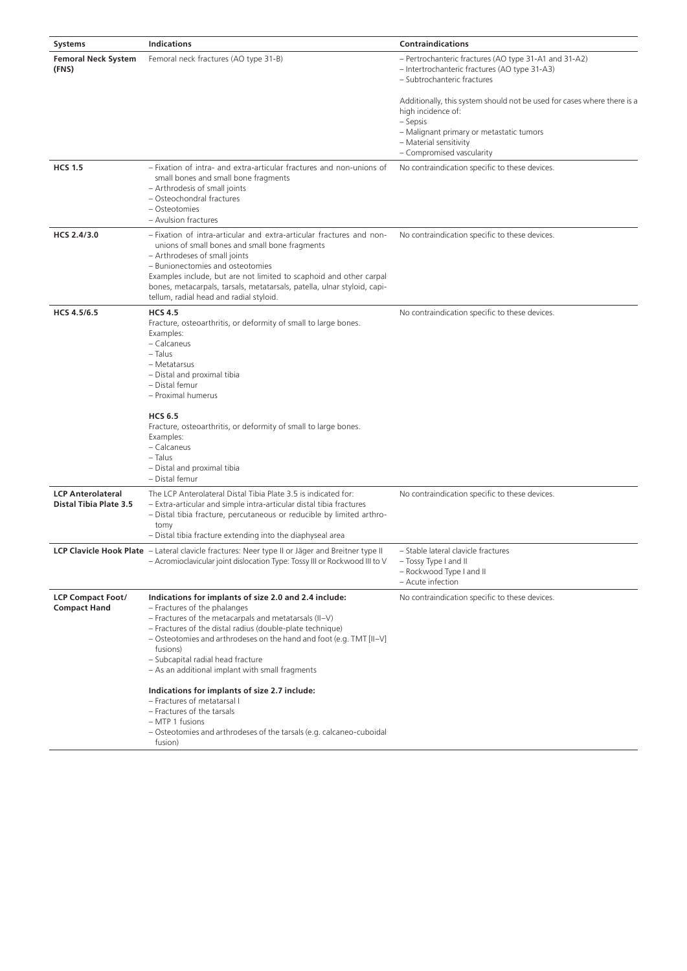| Systems                                                   | <b>Indications</b>                                                                                                                                                                                                                                                                                                                                                                         | <b>Contraindications</b>                                                                                                                                                                                     |
|-----------------------------------------------------------|--------------------------------------------------------------------------------------------------------------------------------------------------------------------------------------------------------------------------------------------------------------------------------------------------------------------------------------------------------------------------------------------|--------------------------------------------------------------------------------------------------------------------------------------------------------------------------------------------------------------|
| <b>Femoral Neck System</b><br>(FNS)                       | Femoral neck fractures (AO type 31-B)                                                                                                                                                                                                                                                                                                                                                      | - Pertrochanteric fractures (AO type 31-A1 and 31-A2)<br>- Intertrochanteric fractures (AO type 31-A3)<br>– Subtrochanteric fractures                                                                        |
|                                                           |                                                                                                                                                                                                                                                                                                                                                                                            | Additionally, this system should not be used for cases where there is a<br>high incidence of:<br>– Sepsis<br>- Malignant primary or metastatic tumors<br>- Material sensitivity<br>- Compromised vascularity |
| <b>HCS 1.5</b>                                            | - Fixation of intra- and extra-articular fractures and non-unions of<br>small bones and small bone fragments<br>- Arthrodesis of small joints<br>- Osteochondral fractures<br>- Osteotomies<br>- Avulsion fractures                                                                                                                                                                        | No contraindication specific to these devices.                                                                                                                                                               |
| HCS 2.4/3.0                                               | - Fixation of intra-articular and extra-articular fractures and non-<br>unions of small bones and small bone fragments<br>- Arthrodeses of small joints<br>- Bunionectomies and osteotomies<br>Examples include, but are not limited to scaphoid and other carpal<br>bones, metacarpals, tarsals, metatarsals, patella, ulnar styloid, capi-<br>tellum, radial head and radial styloid.    | No contraindication specific to these devices.                                                                                                                                                               |
| HCS 4.5/6.5                                               | <b>HCS 4.5</b><br>Fracture, osteoarthritis, or deformity of small to large bones.<br>Examples:<br>- Calcaneus<br>- Talus<br>- Metatarsus<br>- Distal and proximal tibia<br>- Distal femur<br>- Proximal humerus<br><b>HCS 6.5</b><br>Fracture, osteoarthritis, or deformity of small to large bones.<br>Examples:                                                                          | No contraindication specific to these devices.                                                                                                                                                               |
|                                                           | - Calcaneus<br>- Talus<br>- Distal and proximal tibia<br>- Distal femur                                                                                                                                                                                                                                                                                                                    |                                                                                                                                                                                                              |
| <b>LCP Anterolateral</b><br><b>Distal Tibia Plate 3.5</b> | The LCP Anterolateral Distal Tibia Plate 3.5 is indicated for:<br>- Extra-articular and simple intra-articular distal tibia fractures<br>- Distal tibia fracture, percutaneous or reducible by limited arthro-<br>tomy<br>- Distal tibia fracture extending into the diaphyseal area                                                                                                       | No contraindication specific to these devices.                                                                                                                                                               |
|                                                           | <b>LCP Clavicle Hook Plate</b> - Lateral clavicle fractures: Neer type II or Jäger and Breitner type II<br>- Acromioclavicular joint dislocation Type: Tossy III or Rockwood III to V                                                                                                                                                                                                      | – Stable lateral clavicle fractures<br>- Tossy Type I and II<br>- Rockwood Type I and II<br>- Acute infection                                                                                                |
| <b>LCP Compact Foot/</b><br><b>Compact Hand</b>           | Indications for implants of size 2.0 and 2.4 include:<br>- Fractures of the phalanges<br>$-$ Fractures of the metacarpals and metatarsals (II-V)<br>- Fractures of the distal radius (double-plate technique)<br>$-$ Osteotomies and arthrodeses on the hand and foot (e.g. TMT [II-V]<br>fusions)<br>- Subcapital radial head fracture<br>- As an additional implant with small fragments | No contraindication specific to these devices.                                                                                                                                                               |
|                                                           | Indications for implants of size 2.7 include:<br>- Fractures of metatarsal I<br>- Fractures of the tarsals<br>- MTP 1 fusions<br>- Osteotomies and arthrodeses of the tarsals (e.g. calcaneo-cuboidal<br>fusion)                                                                                                                                                                           |                                                                                                                                                                                                              |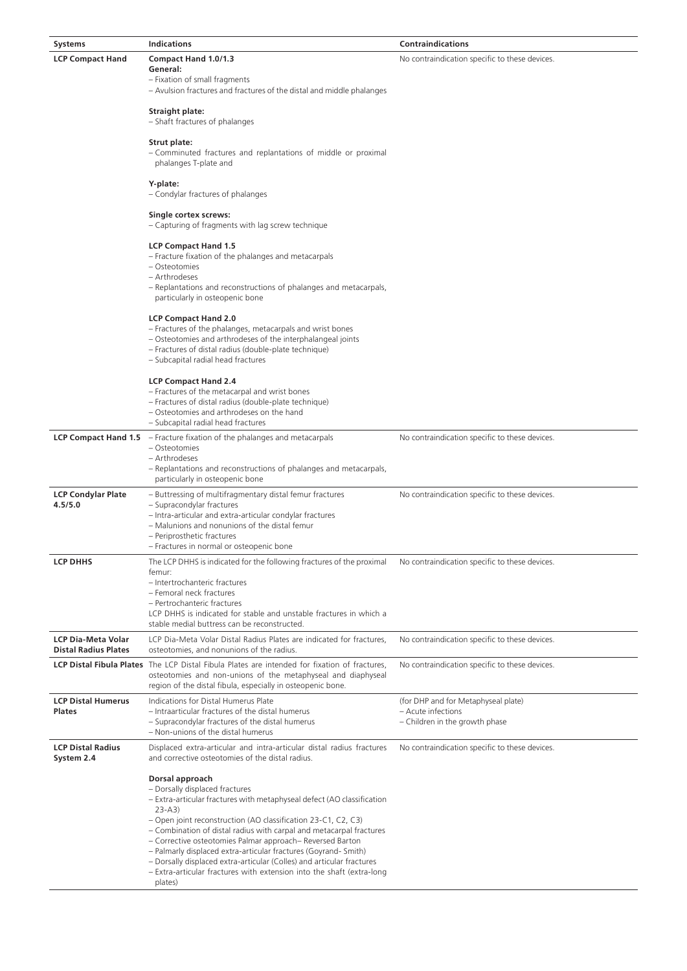| <b>Systems</b>                             | <b>Indications</b>                                                                                                                                                                                                                                                                                                                                                                                                                                                                                                                                                           | <b>Contraindications</b>                                                                    |
|--------------------------------------------|------------------------------------------------------------------------------------------------------------------------------------------------------------------------------------------------------------------------------------------------------------------------------------------------------------------------------------------------------------------------------------------------------------------------------------------------------------------------------------------------------------------------------------------------------------------------------|---------------------------------------------------------------------------------------------|
| <b>LCP Compact Hand</b>                    | Compact Hand 1.0/1.3<br>General:<br>- Fixation of small fragments                                                                                                                                                                                                                                                                                                                                                                                                                                                                                                            | No contraindication specific to these devices.                                              |
|                                            | - Avulsion fractures and fractures of the distal and middle phalanges<br><b>Straight plate:</b>                                                                                                                                                                                                                                                                                                                                                                                                                                                                              |                                                                                             |
|                                            | - Shaft fractures of phalanges                                                                                                                                                                                                                                                                                                                                                                                                                                                                                                                                               |                                                                                             |
|                                            | Strut plate:<br>- Comminuted fractures and replantations of middle or proximal<br>phalanges T-plate and                                                                                                                                                                                                                                                                                                                                                                                                                                                                      |                                                                                             |
|                                            | Y-plate:<br>- Condylar fractures of phalanges                                                                                                                                                                                                                                                                                                                                                                                                                                                                                                                                |                                                                                             |
|                                            | Single cortex screws:<br>– Capturing of fragments with lag screw technique                                                                                                                                                                                                                                                                                                                                                                                                                                                                                                   |                                                                                             |
|                                            | <b>LCP Compact Hand 1.5</b><br>- Fracture fixation of the phalanges and metacarpals<br>- Osteotomies<br>- Arthrodeses<br>- Replantations and reconstructions of phalanges and metacarpals,                                                                                                                                                                                                                                                                                                                                                                                   |                                                                                             |
|                                            | particularly in osteopenic bone                                                                                                                                                                                                                                                                                                                                                                                                                                                                                                                                              |                                                                                             |
|                                            | <b>LCP Compact Hand 2.0</b><br>- Fractures of the phalanges, metacarpals and wrist bones<br>- Osteotomies and arthrodeses of the interphalangeal joints<br>- Fractures of distal radius (double-plate technique)<br>- Subcapital radial head fractures                                                                                                                                                                                                                                                                                                                       |                                                                                             |
|                                            | <b>LCP Compact Hand 2.4</b><br>- Fractures of the metacarpal and wrist bones<br>- Fractures of distal radius (double-plate technique)<br>- Osteotomies and arthrodeses on the hand<br>- Subcapital radial head fractures                                                                                                                                                                                                                                                                                                                                                     |                                                                                             |
|                                            | <b>LCP Compact Hand 1.5</b> $-$ Fracture fixation of the phalanges and metacarpals<br>- Osteotomies<br>- Arthrodeses<br>- Replantations and reconstructions of phalanges and metacarpals,<br>particularly in osteopenic bone                                                                                                                                                                                                                                                                                                                                                 | No contraindication specific to these devices.                                              |
| <b>LCP Condylar Plate</b><br>4.5/5.0       | - Buttressing of multifragmentary distal femur fractures<br>- Supracondylar fractures<br>- Intra-articular and extra-articular condylar fractures<br>- Malunions and nonunions of the distal femur<br>- Periprosthetic fractures<br>– Fractures in normal or osteopenic bone                                                                                                                                                                                                                                                                                                 | No contraindication specific to these devices.                                              |
| <b>LCP DHHS</b>                            | The LCP DHHS is indicated for the following fractures of the proximal<br>femur:<br>- Intertrochanteric fractures<br>- Femoral neck fractures<br>- Pertrochanteric fractures<br>LCP DHHS is indicated for stable and unstable fractures in which a                                                                                                                                                                                                                                                                                                                            | No contraindication specific to these devices.                                              |
| <b>LCP Dia-Meta Volar</b>                  | stable medial buttress can be reconstructed.<br>LCP Dia-Meta Volar Distal Radius Plates are indicated for fractures,                                                                                                                                                                                                                                                                                                                                                                                                                                                         | No contraindication specific to these devices.                                              |
| <b>Distal Radius Plates</b>                | osteotomies, and nonunions of the radius.<br><b>LCP Distal Fibula Plates</b> The LCP Distal Fibula Plates are intended for fixation of fractures,                                                                                                                                                                                                                                                                                                                                                                                                                            | No contraindication specific to these devices.                                              |
|                                            | osteotomies and non-unions of the metaphyseal and diaphyseal<br>region of the distal fibula, especially in osteopenic bone.                                                                                                                                                                                                                                                                                                                                                                                                                                                  |                                                                                             |
| <b>LCP Distal Humerus</b><br><b>Plates</b> | Indications for Distal Humerus Plate<br>- Intraarticular fractures of the distal humerus<br>- Supracondylar fractures of the distal humerus<br>- Non-unions of the distal humerus                                                                                                                                                                                                                                                                                                                                                                                            | (for DHP and for Metaphyseal plate)<br>- Acute infections<br>- Children in the growth phase |
| <b>LCP Distal Radius</b><br>System 2.4     | Displaced extra-articular and intra-articular distal radius fractures<br>and corrective osteotomies of the distal radius.                                                                                                                                                                                                                                                                                                                                                                                                                                                    | No contraindication specific to these devices.                                              |
|                                            | Dorsal approach<br>- Dorsally displaced fractures<br>- Extra-articular fractures with metaphyseal defect (AO classification<br>$23 - A3$<br>- Open joint reconstruction (AO classification 23-C1, C2, C3)<br>- Combination of distal radius with carpal and metacarpal fractures<br>- Corrective osteotomies Palmar approach-Reversed Barton<br>- Palmarly displaced extra-articular fractures (Goyrand- Smith)<br>- Dorsally displaced extra-articular (Colles) and articular fractures<br>- Extra-articular fractures with extension into the shaft (extra-long<br>plates) |                                                                                             |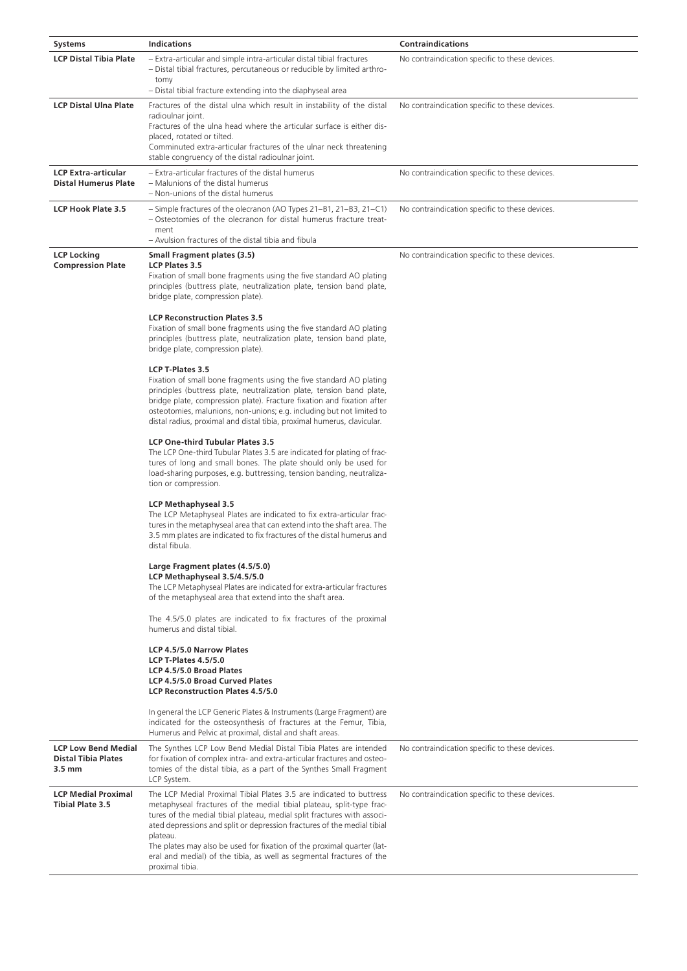| <b>Systems</b>                                            | <b>Indications</b>                                                                                                                                                                                                                                                                                                                                                                                                                                                                                                                                                                                                                                                                                                                                                                                                                                                                                                                                                                                                                                                                                                                                                                                                                                                                                                                                                                                                                                                                                                                                                                                                                                                                                                                                                                                                                                                                                                                                                                                 | <b>Contraindications</b>                       |
|-----------------------------------------------------------|----------------------------------------------------------------------------------------------------------------------------------------------------------------------------------------------------------------------------------------------------------------------------------------------------------------------------------------------------------------------------------------------------------------------------------------------------------------------------------------------------------------------------------------------------------------------------------------------------------------------------------------------------------------------------------------------------------------------------------------------------------------------------------------------------------------------------------------------------------------------------------------------------------------------------------------------------------------------------------------------------------------------------------------------------------------------------------------------------------------------------------------------------------------------------------------------------------------------------------------------------------------------------------------------------------------------------------------------------------------------------------------------------------------------------------------------------------------------------------------------------------------------------------------------------------------------------------------------------------------------------------------------------------------------------------------------------------------------------------------------------------------------------------------------------------------------------------------------------------------------------------------------------------------------------------------------------------------------------------------------------|------------------------------------------------|
| <b>LCP Distal Tibia Plate</b>                             | - Extra-articular and simple intra-articular distal tibial fractures<br>- Distal tibial fractures, percutaneous or reducible by limited arthro-<br>tomy<br>- Distal tibial fracture extending into the diaphyseal area                                                                                                                                                                                                                                                                                                                                                                                                                                                                                                                                                                                                                                                                                                                                                                                                                                                                                                                                                                                                                                                                                                                                                                                                                                                                                                                                                                                                                                                                                                                                                                                                                                                                                                                                                                             | No contraindication specific to these devices. |
| <b>LCP Distal Ulna Plate</b>                              | Fractures of the distal ulna which result in instability of the distal<br>radioulnar joint.<br>Fractures of the ulna head where the articular surface is either dis-<br>placed, rotated or tilted.<br>Comminuted extra-articular fractures of the ulnar neck threatening<br>stable congruency of the distal radioulnar joint.                                                                                                                                                                                                                                                                                                                                                                                                                                                                                                                                                                                                                                                                                                                                                                                                                                                                                                                                                                                                                                                                                                                                                                                                                                                                                                                                                                                                                                                                                                                                                                                                                                                                      | No contraindication specific to these devices. |
| <b>LCP Extra-articular</b><br><b>Distal Humerus Plate</b> | - Extra-articular fractures of the distal humerus<br>- Malunions of the distal humerus<br>- Non-unions of the distal humerus                                                                                                                                                                                                                                                                                                                                                                                                                                                                                                                                                                                                                                                                                                                                                                                                                                                                                                                                                                                                                                                                                                                                                                                                                                                                                                                                                                                                                                                                                                                                                                                                                                                                                                                                                                                                                                                                       | No contraindication specific to these devices. |
| <b>LCP Hook Plate 3.5</b>                                 | - Simple fractures of the olecranon (AO Types 21–B1, 21–B3, 21–C1)<br>- Osteotomies of the olecranon for distal humerus fracture treat-<br>ment                                                                                                                                                                                                                                                                                                                                                                                                                                                                                                                                                                                                                                                                                                                                                                                                                                                                                                                                                                                                                                                                                                                                                                                                                                                                                                                                                                                                                                                                                                                                                                                                                                                                                                                                                                                                                                                    | No contraindication specific to these devices. |
| <b>LCP Locking</b><br><b>Compression Plate</b>            | - Avulsion fractures of the distal tibia and fibula<br><b>Small Fragment plates (3.5)</b><br><b>LCP Plates 3.5</b><br>Fixation of small bone fragments using the five standard AO plating<br>principles (buttress plate, neutralization plate, tension band plate,<br>bridge plate, compression plate).<br><b>LCP Reconstruction Plates 3.5</b><br>Fixation of small bone fragments using the five standard AO plating<br>principles (buttress plate, neutralization plate, tension band plate,<br>bridge plate, compression plate).<br>LCP T-Plates 3.5<br>Fixation of small bone fragments using the five standard AO plating<br>principles (buttress plate, neutralization plate, tension band plate,<br>bridge plate, compression plate). Fracture fixation and fixation after<br>osteotomies, malunions, non-unions; e.g. including but not limited to<br>distal radius, proximal and distal tibia, proximal humerus, clavicular.<br><b>LCP One-third Tubular Plates 3.5</b><br>The LCP One-third Tubular Plates 3.5 are indicated for plating of frac-<br>tures of long and small bones. The plate should only be used for<br>load-sharing purposes, e.g. buttressing, tension banding, neutraliza-<br>tion or compression.<br><b>LCP Methaphyseal 3.5</b><br>The LCP Metaphyseal Plates are indicated to fix extra-articular frac-<br>tures in the metaphyseal area that can extend into the shaft area. The<br>3.5 mm plates are indicated to fix fractures of the distal humerus and<br>distal fibula.<br>Large Fragment plates (4.5/5.0)<br>LCP Methaphyseal 3.5/4.5/5.0<br>The LCP Metaphyseal Plates are indicated for extra-articular fractures<br>of the metaphyseal area that extend into the shaft area.<br>The 4.5/5.0 plates are indicated to fix fractures of the proximal<br>humerus and distal tibial.<br>LCP 4.5/5.0 Narrow Plates<br><b>LCP T-Plates 4.5/5.0</b><br>LCP 4.5/5.0 Broad Plates<br>LCP 4.5/5.0 Broad Curved Plates<br><b>LCP Reconstruction Plates 4.5/5.0</b> | No contraindication specific to these devices. |
| <b>LCP Low Bend Medial</b>                                | In general the LCP Generic Plates & Instruments (Large Fragment) are<br>indicated for the osteosynthesis of fractures at the Femur, Tibia,<br>Humerus and Pelvic at proximal, distal and shaft areas.                                                                                                                                                                                                                                                                                                                                                                                                                                                                                                                                                                                                                                                                                                                                                                                                                                                                                                                                                                                                                                                                                                                                                                                                                                                                                                                                                                                                                                                                                                                                                                                                                                                                                                                                                                                              |                                                |
| <b>Distal Tibia Plates</b><br>$3.5 \text{ mm}$            | The Synthes LCP Low Bend Medial Distal Tibia Plates are intended<br>for fixation of complex intra- and extra-articular fractures and osteo-<br>tomies of the distal tibia, as a part of the Synthes Small Fragment<br>LCP System.                                                                                                                                                                                                                                                                                                                                                                                                                                                                                                                                                                                                                                                                                                                                                                                                                                                                                                                                                                                                                                                                                                                                                                                                                                                                                                                                                                                                                                                                                                                                                                                                                                                                                                                                                                  | No contraindication specific to these devices. |
| <b>LCP Medial Proximal</b><br><b>Tibial Plate 3.5</b>     | The LCP Medial Proximal Tibial Plates 3.5 are indicated to buttress<br>metaphyseal fractures of the medial tibial plateau, split-type frac-<br>tures of the medial tibial plateau, medial split fractures with associ-<br>ated depressions and split or depression fractures of the medial tibial<br>plateau.<br>The plates may also be used for fixation of the proximal quarter (lat-<br>eral and medial) of the tibia, as well as segmental fractures of the<br>proximal tibia.                                                                                                                                                                                                                                                                                                                                                                                                                                                                                                                                                                                                                                                                                                                                                                                                                                                                                                                                                                                                                                                                                                                                                                                                                                                                                                                                                                                                                                                                                                                 | No contraindication specific to these devices. |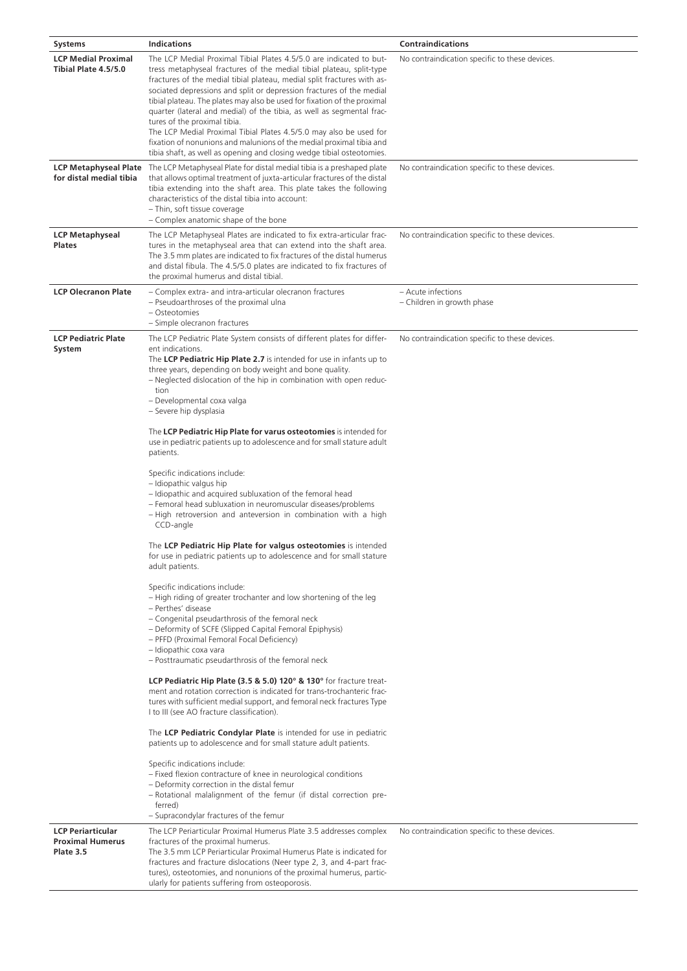| <b>Systems</b>                                                   | <b>Indications</b>                                                                                                                                                                                                                                                                                                                                                                                                                                                                                                                                                                                                                                                                                                                                                                                                                                                                                                                                                                                                                                                                                                                                                                                                                                                                                                                                                                                                                                                                                                                                                                                                                                                                                                                                                                                                                                                                                                                                                                                 | <b>Contraindications</b>                         |
|------------------------------------------------------------------|----------------------------------------------------------------------------------------------------------------------------------------------------------------------------------------------------------------------------------------------------------------------------------------------------------------------------------------------------------------------------------------------------------------------------------------------------------------------------------------------------------------------------------------------------------------------------------------------------------------------------------------------------------------------------------------------------------------------------------------------------------------------------------------------------------------------------------------------------------------------------------------------------------------------------------------------------------------------------------------------------------------------------------------------------------------------------------------------------------------------------------------------------------------------------------------------------------------------------------------------------------------------------------------------------------------------------------------------------------------------------------------------------------------------------------------------------------------------------------------------------------------------------------------------------------------------------------------------------------------------------------------------------------------------------------------------------------------------------------------------------------------------------------------------------------------------------------------------------------------------------------------------------------------------------------------------------------------------------------------------------|--------------------------------------------------|
| <b>LCP Medial Proximal</b><br>Tibial Plate 4.5/5.0               | The LCP Medial Proximal Tibial Plates 4.5/5.0 are indicated to but-<br>tress metaphyseal fractures of the medial tibial plateau, split-type<br>fractures of the medial tibial plateau, medial split fractures with as-<br>sociated depressions and split or depression fractures of the medial<br>tibial plateau. The plates may also be used for fixation of the proximal<br>quarter (lateral and medial) of the tibia, as well as segmental frac-<br>tures of the proximal tibia.<br>The LCP Medial Proximal Tibial Plates 4.5/5.0 may also be used for<br>fixation of nonunions and malunions of the medial proximal tibia and<br>tibia shaft, as well as opening and closing wedge tibial osteotomies.                                                                                                                                                                                                                                                                                                                                                                                                                                                                                                                                                                                                                                                                                                                                                                                                                                                                                                                                                                                                                                                                                                                                                                                                                                                                                         | No contraindication specific to these devices.   |
| <b>LCP Metaphyseal Plate</b><br>for distal medial tibia          | The LCP Metaphyseal Plate for distal medial tibia is a preshaped plate<br>that allows optimal treatment of juxta-articular fractures of the distal<br>tibia extending into the shaft area. This plate takes the following<br>characteristics of the distal tibia into account:<br>- Thin, soft tissue coverage<br>- Complex anatomic shape of the bone                                                                                                                                                                                                                                                                                                                                                                                                                                                                                                                                                                                                                                                                                                                                                                                                                                                                                                                                                                                                                                                                                                                                                                                                                                                                                                                                                                                                                                                                                                                                                                                                                                             | No contraindication specific to these devices.   |
| <b>LCP Metaphyseal</b><br><b>Plates</b>                          | The LCP Metaphyseal Plates are indicated to fix extra-articular frac-<br>tures in the metaphyseal area that can extend into the shaft area.<br>The 3.5 mm plates are indicated to fix fractures of the distal humerus<br>and distal fibula. The 4.5/5.0 plates are indicated to fix fractures of<br>the proximal humerus and distal tibial.                                                                                                                                                                                                                                                                                                                                                                                                                                                                                                                                                                                                                                                                                                                                                                                                                                                                                                                                                                                                                                                                                                                                                                                                                                                                                                                                                                                                                                                                                                                                                                                                                                                        | No contraindication specific to these devices.   |
| <b>LCP Olecranon Plate</b>                                       | - Complex extra- and intra-articular olecranon fractures<br>- Pseudoarthroses of the proximal ulna<br>- Osteotomies<br>- Simple olecranon fractures                                                                                                                                                                                                                                                                                                                                                                                                                                                                                                                                                                                                                                                                                                                                                                                                                                                                                                                                                                                                                                                                                                                                                                                                                                                                                                                                                                                                                                                                                                                                                                                                                                                                                                                                                                                                                                                | - Acute infections<br>- Children in growth phase |
| <b>LCP Pediatric Plate</b><br>System                             | The LCP Pediatric Plate System consists of different plates for differ-<br>ent indications.<br>The LCP Pediatric Hip Plate 2.7 is intended for use in infants up to<br>three years, depending on body weight and bone quality.<br>- Neglected dislocation of the hip in combination with open reduc-<br>tion<br>- Developmental coxa valga<br>- Severe hip dysplasia<br>The LCP Pediatric Hip Plate for varus osteotomies is intended for<br>use in pediatric patients up to adolescence and for small stature adult<br>patients.<br>Specific indications include:<br>- Idiopathic valgus hip<br>- Idiopathic and acquired subluxation of the femoral head<br>- Femoral head subluxation in neuromuscular diseases/problems<br>- High retroversion and anteversion in combination with a high<br>CCD-angle<br>The LCP Pediatric Hip Plate for valgus osteotomies is intended<br>for use in pediatric patients up to adolescence and for small stature<br>adult patients.<br>Specific indications include:<br>- High riding of greater trochanter and low shortening of the leg<br>- Perthes' disease<br>- Congenital pseudarthrosis of the femoral neck<br>- Deformity of SCFE (Slipped Capital Femoral Epiphysis)<br>- PFFD (Proximal Femoral Focal Deficiency)<br>- Idiopathic coxa vara<br>- Posttraumatic pseudarthrosis of the femoral neck<br>LCP Pediatric Hip Plate (3.5 & 5.0) 120° & 130° for fracture treat-<br>ment and rotation correction is indicated for trans-trochanteric frac-<br>tures with sufficient medial support, and femoral neck fractures Type<br>I to III (see AO fracture classification).<br>The LCP Pediatric Condylar Plate is intended for use in pediatric<br>patients up to adolescence and for small stature adult patients.<br>Specific indications include:<br>- Fixed flexion contracture of knee in neurological conditions<br>- Deformity correction in the distal femur<br>- Rotational malalignment of the femur (if distal correction pre-<br>ferred) | No contraindication specific to these devices.   |
| <b>LCP Periarticular</b><br><b>Proximal Humerus</b><br>Plate 3.5 | - Supracondylar fractures of the femur<br>The LCP Periarticular Proximal Humerus Plate 3.5 addresses complex<br>fractures of the proximal humerus.<br>The 3.5 mm LCP Periarticular Proximal Humerus Plate is indicated for                                                                                                                                                                                                                                                                                                                                                                                                                                                                                                                                                                                                                                                                                                                                                                                                                                                                                                                                                                                                                                                                                                                                                                                                                                                                                                                                                                                                                                                                                                                                                                                                                                                                                                                                                                         | No contraindication specific to these devices.   |
|                                                                  | fractures and fracture dislocations (Neer type 2, 3, and 4-part frac-<br>tures), osteotomies, and nonunions of the proximal humerus, partic-<br>ularly for patients suffering from osteoporosis.                                                                                                                                                                                                                                                                                                                                                                                                                                                                                                                                                                                                                                                                                                                                                                                                                                                                                                                                                                                                                                                                                                                                                                                                                                                                                                                                                                                                                                                                                                                                                                                                                                                                                                                                                                                                   |                                                  |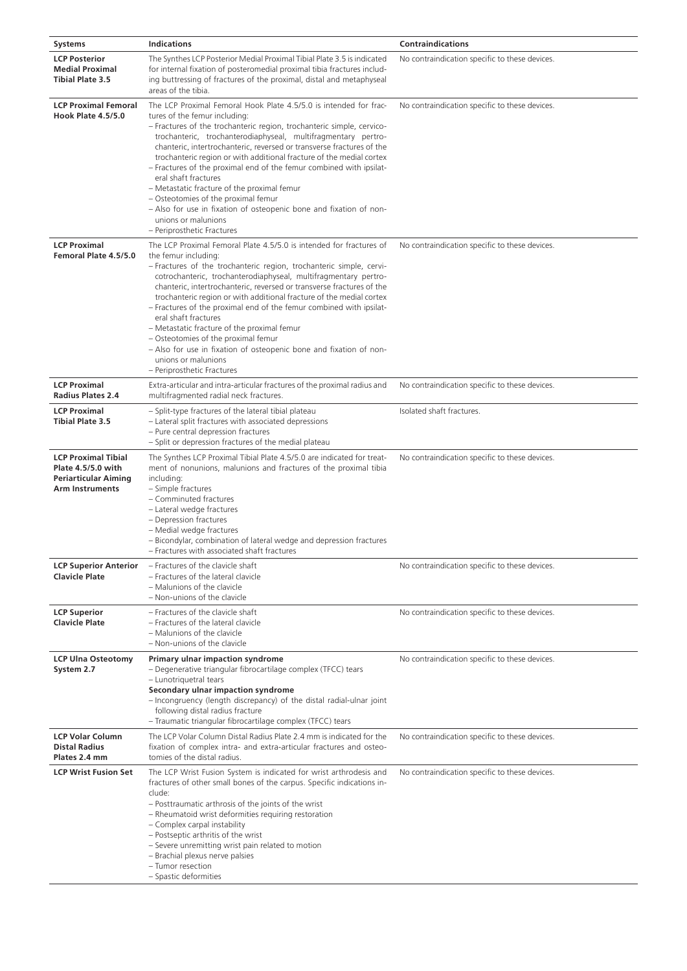| <b>Systems</b>                                                                                            | <b>Indications</b>                                                                                                                                                                                                                                                                                                                                                                                                                                                                                                                                                                                                                                                                                            | <b>Contraindications</b>                       |
|-----------------------------------------------------------------------------------------------------------|---------------------------------------------------------------------------------------------------------------------------------------------------------------------------------------------------------------------------------------------------------------------------------------------------------------------------------------------------------------------------------------------------------------------------------------------------------------------------------------------------------------------------------------------------------------------------------------------------------------------------------------------------------------------------------------------------------------|------------------------------------------------|
| <b>LCP Posterior</b><br><b>Medial Proximal</b><br><b>Tibial Plate 3.5</b>                                 | The Synthes LCP Posterior Medial Proximal Tibial Plate 3.5 is indicated<br>for internal fixation of posteromedial proximal tibia fractures includ-<br>ing buttressing of fractures of the proximal, distal and metaphyseal<br>areas of the tibia.                                                                                                                                                                                                                                                                                                                                                                                                                                                             | No contraindication specific to these devices. |
| <b>LCP Proximal Femoral</b><br><b>Hook Plate 4.5/5.0</b>                                                  | The LCP Proximal Femoral Hook Plate 4.5/5.0 is intended for frac-<br>tures of the femur including:<br>- Fractures of the trochanteric region, trochanteric simple, cervico-<br>trochanteric, trochanterodiaphyseal, multifragmentary pertro-<br>chanteric, intertrochanteric, reversed or transverse fractures of the<br>trochanteric region or with additional fracture of the medial cortex<br>- Fractures of the proximal end of the femur combined with ipsilat-<br>eral shaft fractures<br>- Metastatic fracture of the proximal femur<br>- Osteotomies of the proximal femur<br>- Also for use in fixation of osteopenic bone and fixation of non-<br>unions or malunions<br>- Periprosthetic Fractures | No contraindication specific to these devices. |
| <b>LCP Proximal</b><br>Femoral Plate 4.5/5.0                                                              | The LCP Proximal Femoral Plate 4.5/5.0 is intended for fractures of<br>the femur including:<br>- Fractures of the trochanteric region, trochanteric simple, cervi-<br>cotrochanteric, trochanterodiaphyseal, multifragmentary pertro-<br>chanteric, intertrochanteric, reversed or transverse fractures of the<br>trochanteric region or with additional fracture of the medial cortex<br>- Fractures of the proximal end of the femur combined with ipsilat-<br>eral shaft fractures<br>- Metastatic fracture of the proximal femur<br>- Osteotomies of the proximal femur<br>- Also for use in fixation of osteopenic bone and fixation of non-<br>unions or malunions<br>- Periprosthetic Fractures        | No contraindication specific to these devices. |
| <b>LCP Proximal</b><br><b>Radius Plates 2.4</b>                                                           | Extra-articular and intra-articular fractures of the proximal radius and<br>multifragmented radial neck fractures.                                                                                                                                                                                                                                                                                                                                                                                                                                                                                                                                                                                            | No contraindication specific to these devices. |
| <b>LCP Proximal</b><br><b>Tibial Plate 3.5</b>                                                            | - Split-type fractures of the lateral tibial plateau<br>- Lateral split fractures with associated depressions<br>- Pure central depression fractures<br>- Split or depression fractures of the medial plateau                                                                                                                                                                                                                                                                                                                                                                                                                                                                                                 | Isolated shaft fractures.                      |
| <b>LCP Proximal Tibial</b><br>Plate 4.5/5.0 with<br><b>Periarticular Aiming</b><br><b>Arm Instruments</b> | The Synthes LCP Proximal Tibial Plate 4.5/5.0 are indicated for treat-<br>ment of nonunions, malunions and fractures of the proximal tibia<br>including:<br>- Simple fractures<br>- Comminuted fractures<br>- Lateral wedge fractures<br>- Depression fractures<br>- Medial wedge fractures<br>- Bicondylar, combination of lateral wedge and depression fractures<br>- Fractures with associated shaft fractures                                                                                                                                                                                                                                                                                             | No contraindication specific to these devices. |
| <b>LCP Superior Anterior</b><br><b>Clavicle Plate</b>                                                     | - Fractures of the clavicle shaft<br>- Fractures of the lateral clavicle<br>- Malunions of the clavicle<br>- Non-unions of the clavicle                                                                                                                                                                                                                                                                                                                                                                                                                                                                                                                                                                       | No contraindication specific to these devices. |
| <b>LCP Superior</b><br><b>Clavicle Plate</b>                                                              | - Fractures of the clavicle shaft<br>- Fractures of the lateral clavicle<br>- Malunions of the clavicle<br>- Non-unions of the clavicle                                                                                                                                                                                                                                                                                                                                                                                                                                                                                                                                                                       | No contraindication specific to these devices. |
| <b>LCP Ulna Osteotomy</b><br>System 2.7                                                                   | Primary ulnar impaction syndrome<br>- Degenerative triangular fibrocartilage complex (TFCC) tears<br>- Lunotriquetral tears<br>Secondary ulnar impaction syndrome<br>- Incongruency (length discrepancy) of the distal radial-ulnar joint<br>following distal radius fracture<br>- Traumatic triangular fibrocartilage complex (TFCC) tears                                                                                                                                                                                                                                                                                                                                                                   | No contraindication specific to these devices. |
| <b>LCP Volar Column</b><br><b>Distal Radius</b><br>Plates 2.4 mm                                          | The LCP Volar Column Distal Radius Plate 2.4 mm is indicated for the<br>fixation of complex intra- and extra-articular fractures and osteo-<br>tomies of the distal radius.                                                                                                                                                                                                                                                                                                                                                                                                                                                                                                                                   | No contraindication specific to these devices. |
| <b>LCP Wrist Fusion Set</b>                                                                               | The LCP Wrist Fusion System is indicated for wrist arthrodesis and<br>fractures of other small bones of the carpus. Specific indications in-<br>clude:<br>- Posttraumatic arthrosis of the joints of the wrist<br>- Rheumatoid wrist deformities requiring restoration<br>- Complex carpal instability<br>- Postseptic arthritis of the wrist<br>- Severe unremitting wrist pain related to motion<br>- Brachial plexus nerve palsies<br>- Tumor resection<br>- Spastic deformities                                                                                                                                                                                                                           | No contraindication specific to these devices. |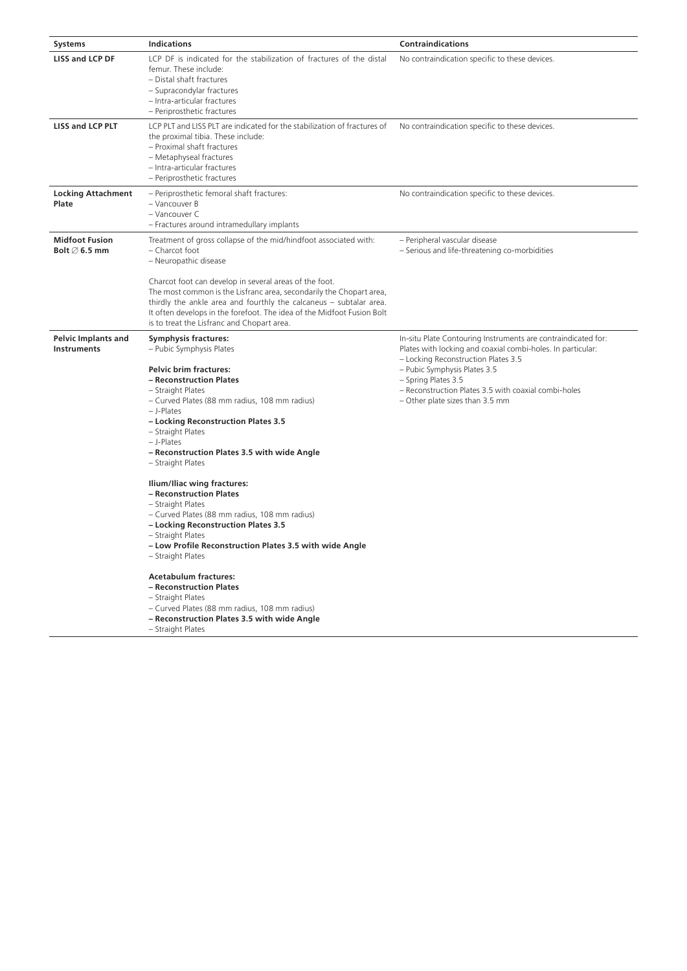| <b>Systems</b>                                     | <b>Indications</b>                                                                                                                                                                                                                                                                                                                                                                     | <b>Contraindications</b>                                                                                                                                                                                                                                                                                              |
|----------------------------------------------------|----------------------------------------------------------------------------------------------------------------------------------------------------------------------------------------------------------------------------------------------------------------------------------------------------------------------------------------------------------------------------------------|-----------------------------------------------------------------------------------------------------------------------------------------------------------------------------------------------------------------------------------------------------------------------------------------------------------------------|
| <b>LISS and LCP DF</b>                             | LCP DF is indicated for the stabilization of fractures of the distal<br>femur. These include:<br>- Distal shaft fractures<br>- Supracondylar fractures<br>- Intra-articular fractures<br>- Periprosthetic fractures                                                                                                                                                                    | No contraindication specific to these devices.                                                                                                                                                                                                                                                                        |
| <b>LISS and LCP PLT</b>                            | LCP PLT and LISS PLT are indicated for the stabilization of fractures of<br>the proximal tibia. These include:<br>- Proximal shaft fractures<br>- Metaphyseal fractures<br>- Intra-articular fractures<br>- Periprosthetic fractures                                                                                                                                                   | No contraindication specific to these devices.                                                                                                                                                                                                                                                                        |
| <b>Locking Attachment</b><br>Plate                 | - Periprosthetic femoral shaft fractures:<br>- Vancouver B<br>- Vancouver C<br>- Fractures around intramedullary implants                                                                                                                                                                                                                                                              | No contraindication specific to these devices.                                                                                                                                                                                                                                                                        |
| <b>Midfoot Fusion</b><br>Bolt $\varnothing$ 6.5 mm | Treatment of gross collapse of the mid/hindfoot associated with:<br>- Charcot foot<br>- Neuropathic disease                                                                                                                                                                                                                                                                            | - Peripheral vascular disease<br>- Serious and life-threatening co-morbidities                                                                                                                                                                                                                                        |
|                                                    | Charcot foot can develop in several areas of the foot.<br>The most common is the Lisfranc area, secondarily the Chopart area,<br>thirdly the ankle area and fourthly the calcaneus - subtalar area.<br>It often develops in the forefoot. The idea of the Midfoot Fusion Bolt<br>is to treat the Lisfranc and Chopart area.                                                            |                                                                                                                                                                                                                                                                                                                       |
| <b>Pelvic Implants and</b><br>Instruments          | <b>Symphysis fractures:</b><br>- Pubic Symphysis Plates<br><b>Pelvic brim fractures:</b><br>- Reconstruction Plates<br>- Straight Plates<br>- Curved Plates (88 mm radius, 108 mm radius)<br>- J-Plates<br>- Locking Reconstruction Plates 3.5<br>- Straight Plates<br>$-$ J-Plates<br>- Reconstruction Plates 3.5 with wide Angle<br>- Straight Plates<br>Ilium/Iliac wing fractures: | In-situ Plate Contouring Instruments are contraindicated for:<br>Plates with locking and coaxial combi-holes. In particular:<br>- Locking Reconstruction Plates 3.5<br>- Pubic Symphysis Plates 3.5<br>- Spring Plates 3.5<br>- Reconstruction Plates 3.5 with coaxial combi-holes<br>- Other plate sizes than 3.5 mm |
|                                                    | - Reconstruction Plates<br>- Straight Plates<br>- Curved Plates (88 mm radius, 108 mm radius)<br>- Locking Reconstruction Plates 3.5<br>- Straight Plates<br>- Low Profile Reconstruction Plates 3.5 with wide Angle<br>- Straight Plates                                                                                                                                              |                                                                                                                                                                                                                                                                                                                       |
|                                                    | <b>Acetabulum fractures:</b><br>- Reconstruction Plates<br>- Straight Plates<br>- Curved Plates (88 mm radius, 108 mm radius)<br>- Reconstruction Plates 3.5 with wide Angle<br>- Straight Plates                                                                                                                                                                                      |                                                                                                                                                                                                                                                                                                                       |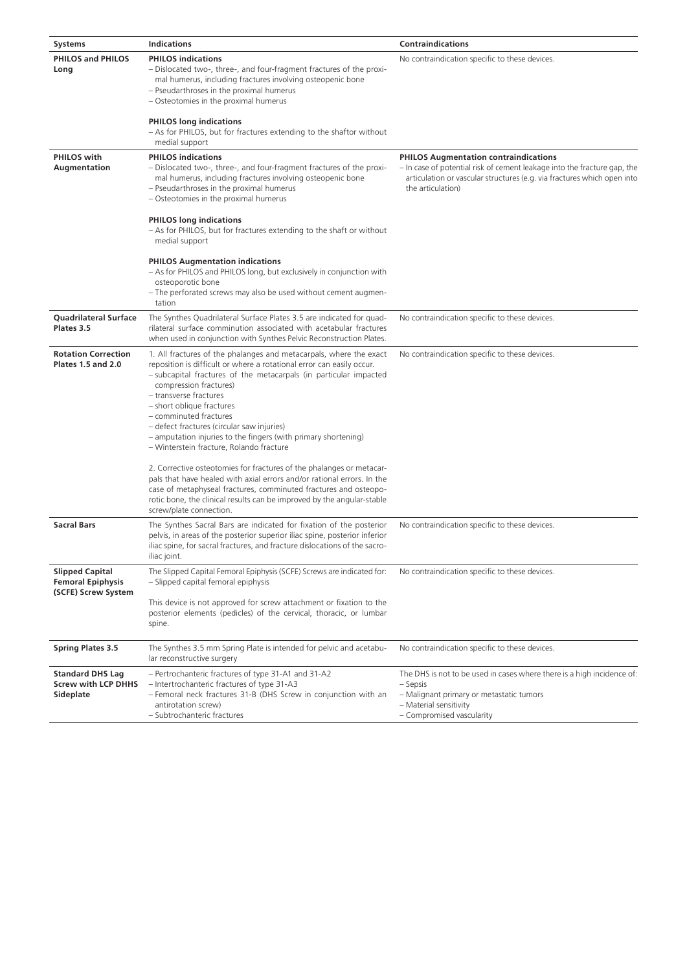| Systems                                                                   | <b>Indications</b>                                                                                                                                                                                                                                                                                                                                                                                                                                                                      | <b>Contraindications</b>                                                                                                                                                                            |
|---------------------------------------------------------------------------|-----------------------------------------------------------------------------------------------------------------------------------------------------------------------------------------------------------------------------------------------------------------------------------------------------------------------------------------------------------------------------------------------------------------------------------------------------------------------------------------|-----------------------------------------------------------------------------------------------------------------------------------------------------------------------------------------------------|
| <b>PHILOS and PHILOS</b><br>Long                                          | <b>PHILOS indications</b><br>- Dislocated two-, three-, and four-fragment fractures of the proxi-<br>mal humerus, including fractures involving osteopenic bone<br>- Pseudarthroses in the proximal humerus<br>- Osteotomies in the proximal humerus<br><b>PHILOS long indications</b><br>- As for PHILOS, but for fractures extending to the shaftor without<br>medial support                                                                                                         | No contraindication specific to these devices.                                                                                                                                                      |
| <b>PHILOS</b> with<br>Augmentation                                        | <b>PHILOS indications</b><br>- Dislocated two-, three-, and four-fragment fractures of the proxi-<br>mal humerus, including fractures involving osteopenic bone                                                                                                                                                                                                                                                                                                                         | <b>PHILOS Augmentation contraindications</b><br>- In case of potential risk of cement leakage into the fracture gap, the<br>articulation or vascular structures (e.g. via fractures which open into |
|                                                                           | - Pseudarthroses in the proximal humerus<br>- Osteotomies in the proximal humerus                                                                                                                                                                                                                                                                                                                                                                                                       | the articulation)                                                                                                                                                                                   |
|                                                                           | <b>PHILOS long indications</b><br>- As for PHILOS, but for fractures extending to the shaft or without<br>medial support                                                                                                                                                                                                                                                                                                                                                                |                                                                                                                                                                                                     |
|                                                                           | <b>PHILOS Augmentation indications</b><br>- As for PHILOS and PHILOS long, but exclusively in conjunction with<br>osteoporotic bone<br>- The perforated screws may also be used without cement augmen-                                                                                                                                                                                                                                                                                  |                                                                                                                                                                                                     |
|                                                                           | tation                                                                                                                                                                                                                                                                                                                                                                                                                                                                                  |                                                                                                                                                                                                     |
| <b>Quadrilateral Surface</b><br>Plates 3.5                                | The Synthes Quadrilateral Surface Plates 3.5 are indicated for quad-<br>rilateral surface comminution associated with acetabular fractures<br>when used in conjunction with Synthes Pelvic Reconstruction Plates.                                                                                                                                                                                                                                                                       | No contraindication specific to these devices.                                                                                                                                                      |
| <b>Rotation Correction</b><br><b>Plates 1.5 and 2.0</b>                   | 1. All fractures of the phalanges and metacarpals, where the exact<br>reposition is difficult or where a rotational error can easily occur.<br>- subcapital fractures of the metacarpals (in particular impacted<br>compression fractures)<br>- transverse fractures<br>- short oblique fractures<br>- comminuted fractures<br>- defect fractures (circular saw injuries)<br>- amputation injuries to the fingers (with primary shortening)<br>- Winterstein fracture, Rolando fracture | No contraindication specific to these devices.                                                                                                                                                      |
|                                                                           | 2. Corrective osteotomies for fractures of the phalanges or metacar-<br>pals that have healed with axial errors and/or rational errors. In the<br>case of metaphyseal fractures, comminuted fractures and osteopo-<br>rotic bone, the clinical results can be improved by the angular-stable<br>screw/plate connection.                                                                                                                                                                 |                                                                                                                                                                                                     |
| <b>Sacral Bars</b>                                                        | The Synthes Sacral Bars are indicated for fixation of the posterior<br>pelvis, in areas of the posterior superior iliac spine, posterior inferior<br>iliac spine, for sacral fractures, and fracture dislocations of the sacro-<br>iliac joint.                                                                                                                                                                                                                                         | No contraindication specific to these devices.                                                                                                                                                      |
| <b>Slipped Capital</b><br><b>Femoral Epiphysis</b><br>(SCFE) Screw System | The Slipped Capital Femoral Epiphysis (SCFE) Screws are indicated for:<br>- Slipped capital femoral epiphysis                                                                                                                                                                                                                                                                                                                                                                           | No contraindication specific to these devices.                                                                                                                                                      |
|                                                                           | This device is not approved for screw attachment or fixation to the<br>posterior elements (pedicles) of the cervical, thoracic, or lumbar<br>spine.                                                                                                                                                                                                                                                                                                                                     |                                                                                                                                                                                                     |
| <b>Spring Plates 3.5</b>                                                  | The Synthes 3.5 mm Spring Plate is intended for pelvic and acetabu-<br>lar reconstructive surgery                                                                                                                                                                                                                                                                                                                                                                                       | No contraindication specific to these devices.                                                                                                                                                      |
| <b>Standard DHS Lag</b><br><b>Screw with LCP DHHS</b><br>Sideplate        | - Pertrochanteric fractures of type 31-A1 and 31-A2<br>- Intertrochanteric fractures of type 31-A3<br>- Femoral neck fractures 31-B (DHS Screw in conjunction with an<br>antirotation screw)<br>- Subtrochanteric fractures                                                                                                                                                                                                                                                             | The DHS is not to be used in cases where there is a high incidence of:<br>– Sepsis<br>- Malignant primary or metastatic tumors<br>- Material sensitivity<br>- Compromised vascularity               |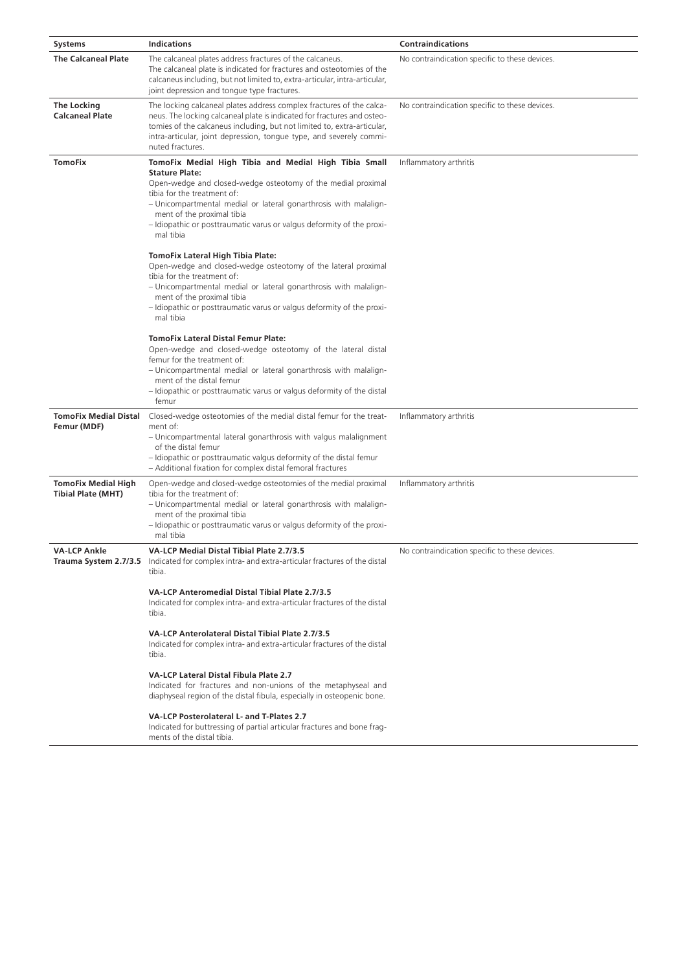| <b>Systems</b>                                          | <b>Indications</b>                                                                                                                                                                                                                                                                                                                                                    | <b>Contraindications</b>                       |
|---------------------------------------------------------|-----------------------------------------------------------------------------------------------------------------------------------------------------------------------------------------------------------------------------------------------------------------------------------------------------------------------------------------------------------------------|------------------------------------------------|
| <b>The Calcaneal Plate</b>                              | The calcaneal plates address fractures of the calcaneus.<br>The calcaneal plate is indicated for fractures and osteotomies of the<br>calcaneus including, but not limited to, extra-articular, intra-articular,<br>joint depression and tongue type fractures.                                                                                                        | No contraindication specific to these devices. |
| <b>The Locking</b><br><b>Calcaneal Plate</b>            | The locking calcaneal plates address complex fractures of the calca-<br>neus. The locking calcaneal plate is indicated for fractures and osteo-<br>tomies of the calcaneus including, but not limited to, extra-articular,<br>intra-articular, joint depression, tongue type, and severely commi-<br>nuted fractures.                                                 | No contraindication specific to these devices. |
| <b>TomoFix</b>                                          | TomoFix Medial High Tibia and Medial High Tibia Small<br><b>Stature Plate:</b><br>Open-wedge and closed-wedge osteotomy of the medial proximal<br>tibia for the treatment of:<br>- Unicompartmental medial or lateral gonarthrosis with malalign-<br>ment of the proximal tibia<br>- Idiopathic or posttraumatic varus or valgus deformity of the proxi-<br>mal tibia | Inflammatory arthritis                         |
|                                                         | <b>TomoFix Lateral High Tibia Plate:</b><br>Open-wedge and closed-wedge osteotomy of the lateral proximal<br>tibia for the treatment of:<br>- Unicompartmental medial or lateral gonarthrosis with malalign-<br>ment of the proximal tibia<br>- Idiopathic or posttraumatic varus or valgus deformity of the proxi-<br>mal tibia                                      |                                                |
|                                                         | <b>TomoFix Lateral Distal Femur Plate:</b><br>Open-wedge and closed-wedge osteotomy of the lateral distal<br>femur for the treatment of:<br>- Unicompartmental medial or lateral gonarthrosis with malalign-<br>ment of the distal femur<br>- Idiopathic or posttraumatic varus or valgus deformity of the distal<br>femur                                            |                                                |
| <b>TomoFix Medial Distal</b><br>Femur (MDF)             | Closed-wedge osteotomies of the medial distal femur for the treat-<br>ment of:<br>- Unicompartmental lateral gonarthrosis with valgus malalignment<br>of the distal femur<br>- Idiopathic or posttraumatic valgus deformity of the distal femur<br>- Additional fixation for complex distal femoral fractures                                                         | Inflammatory arthritis                         |
| <b>TomoFix Medial High</b><br><b>Tibial Plate (MHT)</b> | Open-wedge and closed-wedge osteotomies of the medial proximal<br>tibia for the treatment of:<br>- Unicompartmental medial or lateral gonarthrosis with malalign-<br>ment of the proximal tibia<br>- Idiopathic or posttraumatic varus or valgus deformity of the proxi-<br>mal tibia                                                                                 | Inflammatory arthritis                         |
| <b>VA-LCP Ankle</b>                                     | VA-LCP Medial Distal Tibial Plate 2.7/3.5<br>Trauma System 2.7/3.5 Indicated for complex intra- and extra-articular fractures of the distal<br>tibia.                                                                                                                                                                                                                 | No contraindication specific to these devices. |
|                                                         | VA-LCP Anteromedial Distal Tibial Plate 2.7/3.5<br>Indicated for complex intra- and extra-articular fractures of the distal<br>tibia.                                                                                                                                                                                                                                 |                                                |
|                                                         | VA-LCP Anterolateral Distal Tibial Plate 2.7/3.5<br>Indicated for complex intra- and extra-articular fractures of the distal<br>tibia.                                                                                                                                                                                                                                |                                                |
|                                                         | VA-LCP Lateral Distal Fibula Plate 2.7<br>Indicated for fractures and non-unions of the metaphyseal and<br>diaphyseal region of the distal fibula, especially in osteopenic bone.                                                                                                                                                                                     |                                                |
|                                                         | VA-LCP Posterolateral L- and T-Plates 2.7<br>Indicated for buttressing of partial articular fractures and bone frag-<br>ments of the distal tibia.                                                                                                                                                                                                                    |                                                |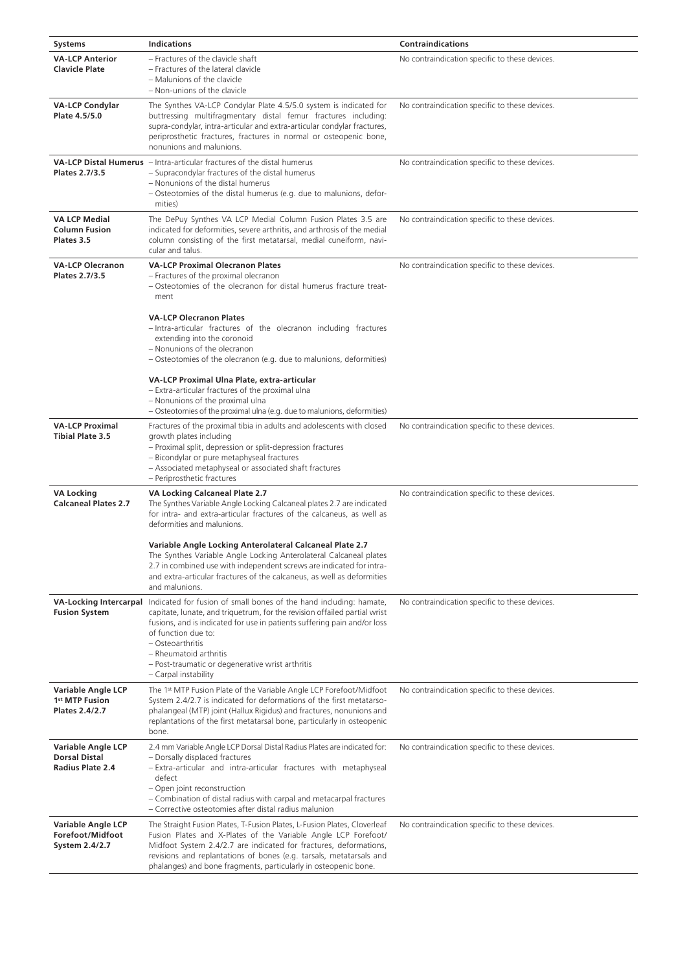| <b>Systems</b>                                                        | <b>Indications</b>                                                                                                                                                                                                                                                                                                                                                           | <b>Contraindications</b>                       |
|-----------------------------------------------------------------------|------------------------------------------------------------------------------------------------------------------------------------------------------------------------------------------------------------------------------------------------------------------------------------------------------------------------------------------------------------------------------|------------------------------------------------|
| <b>VA-LCP Anterior</b><br><b>Clavicle Plate</b>                       | - Fractures of the clavicle shaft<br>- Fractures of the lateral clavicle<br>- Malunions of the clavicle<br>- Non-unions of the clavicle                                                                                                                                                                                                                                      | No contraindication specific to these devices. |
| <b>VA-LCP Condylar</b><br>Plate 4.5/5.0                               | The Synthes VA-LCP Condylar Plate 4.5/5.0 system is indicated for<br>buttressing multifragmentary distal femur fractures including:<br>supra-condylar, intra-articular and extra-articular condylar fractures,<br>periprosthetic fractures, fractures in normal or osteopenic bone,<br>nonunions and malunions.                                                              | No contraindication specific to these devices. |
| Plates 2.7/3.5                                                        | <b>VA-LCP Distal Humerus</b> - Intra-articular fractures of the distal humerus<br>- Supracondylar fractures of the distal humerus<br>- Nonunions of the distal humerus<br>- Osteotomies of the distal humerus (e.g. due to malunions, defor-<br>mities)                                                                                                                      | No contraindication specific to these devices. |
| <b>VA LCP Medial</b><br><b>Column Fusion</b><br>Plates 3.5            | The DePuy Synthes VA LCP Medial Column Fusion Plates 3.5 are<br>indicated for deformities, severe arthritis, and arthrosis of the medial<br>column consisting of the first metatarsal, medial cuneiform, navi-<br>cular and talus.                                                                                                                                           | No contraindication specific to these devices. |
| <b>VA-LCP Olecranon</b><br>Plates 2.7/3.5                             | <b>VA-LCP Proximal Olecranon Plates</b><br>- Fractures of the proximal olecranon<br>- Osteotomies of the olecranon for distal humerus fracture treat-<br>ment                                                                                                                                                                                                                | No contraindication specific to these devices. |
|                                                                       | <b>VA-LCP Olecranon Plates</b><br>-Intra-articular fractures of the olecranon including fractures<br>extending into the coronoid<br>- Nonunions of the olecranon<br>- Osteotomies of the olecranon (e.g. due to malunions, deformities)                                                                                                                                      |                                                |
|                                                                       | VA-LCP Proximal Ulna Plate, extra-articular<br>- Extra-articular fractures of the proximal ulna<br>- Nonunions of the proximal ulna<br>- Osteotomies of the proximal ulna (e.g. due to malunions, deformities)                                                                                                                                                               |                                                |
| <b>VA-LCP Proximal</b><br><b>Tibial Plate 3.5</b>                     | Fractures of the proximal tibia in adults and adolescents with closed<br>growth plates including<br>- Proximal split, depression or split-depression fractures<br>- Bicondylar or pure metaphyseal fractures<br>- Associated metaphyseal or associated shaft fractures<br>- Periprosthetic fractures                                                                         | No contraindication specific to these devices. |
| <b>VA Locking</b><br><b>Calcaneal Plates 2.7</b>                      | VA Locking Calcaneal Plate 2.7<br>The Synthes Variable Angle Locking Calcaneal plates 2.7 are indicated<br>for intra- and extra-articular fractures of the calcaneus, as well as<br>deformities and malunions.                                                                                                                                                               | No contraindication specific to these devices. |
|                                                                       | Variable Angle Locking Anterolateral Calcaneal Plate 2.7<br>The Synthes Variable Angle Locking Anterolateral Calcaneal plates<br>2.7 in combined use with independent screws are indicated for intra-<br>and extra-articular fractures of the calcaneus, as well as deformities<br>and malunions.                                                                            |                                                |
| <b>VA-Locking Intercarpal</b><br><b>Fusion System</b>                 | Indicated for fusion of small bones of the hand including: hamate,<br>capitate, lunate, and triquetrum, for the revision offailed partial wrist<br>fusions, and is indicated for use in patients suffering pain and/or loss<br>of function due to:<br>- Osteoarthritis<br>- Rheumatoid arthritis<br>- Post-traumatic or degenerative wrist arthritis<br>- Carpal instability | No contraindication specific to these devices. |
| Variable Angle LCP<br>1 <sup>st</sup> MTP Fusion<br>Plates 2.4/2.7    | The 1 <sup>st</sup> MTP Fusion Plate of the Variable Angle LCP Forefoot/Midfoot<br>System 2.4/2.7 is indicated for deformations of the first metatarso-<br>phalangeal (MTP) joint (Hallux Rigidus) and fractures, nonunions and<br>replantations of the first metatarsal bone, particularly in osteopenic<br>bone.                                                           | No contraindication specific to these devices. |
| Variable Angle LCP<br><b>Dorsal Distal</b><br><b>Radius Plate 2.4</b> | 2.4 mm Variable Angle LCP Dorsal Distal Radius Plates are indicated for:<br>- Dorsally displaced fractures<br>- Extra-articular and intra-articular fractures with metaphyseal<br>defect<br>- Open joint reconstruction<br>- Combination of distal radius with carpal and metacarpal fractures<br>- Corrective osteotomies after distal radius malunion                      | No contraindication specific to these devices. |
| Variable Angle LCP<br>Forefoot/Midfoot<br>System 2.4/2.7              | The Straight Fusion Plates, T-Fusion Plates, L-Fusion Plates, Cloverleaf<br>Fusion Plates and X-Plates of the Variable Angle LCP Forefoot/<br>Midfoot System 2.4/2.7 are indicated for fractures, deformations,<br>revisions and replantations of bones (e.g. tarsals, metatarsals and<br>phalanges) and bone fragments, particularly in osteopenic bone.                    | No contraindication specific to these devices. |